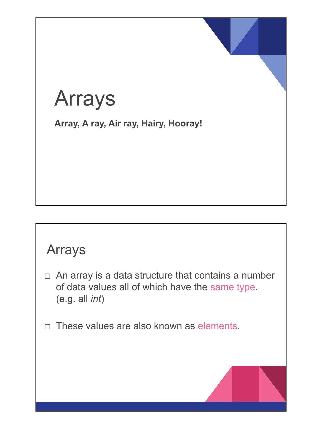# Arrays

**Array, A ray, Air ray, Hairy, Hooray!**

### Arrays

- $\Box$  An array is a data structure that contains a number of data values all of which have the same type. (e.g. all *int*)
- $\Box$  These values are also known as elements.

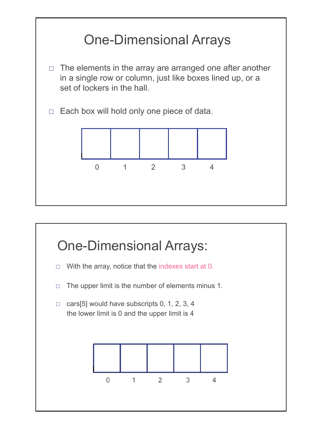

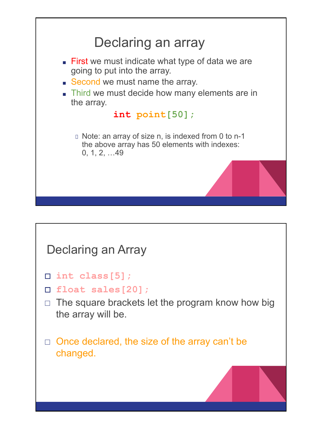

#### Declaring an Array

- □ **int class[5];**
- □ **float sales[20];**
- $\Box$  The square brackets let the program know how big the array will be.
- $\Box$  Once declared, the size of the array can't be changed.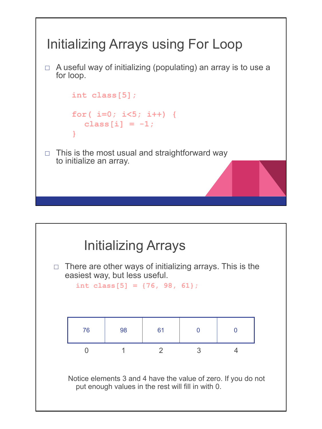

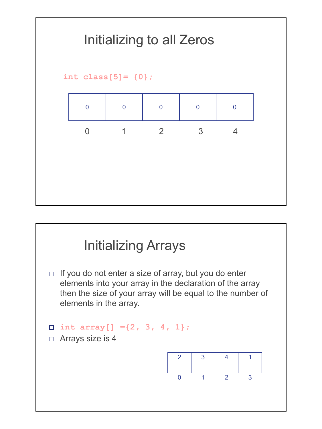